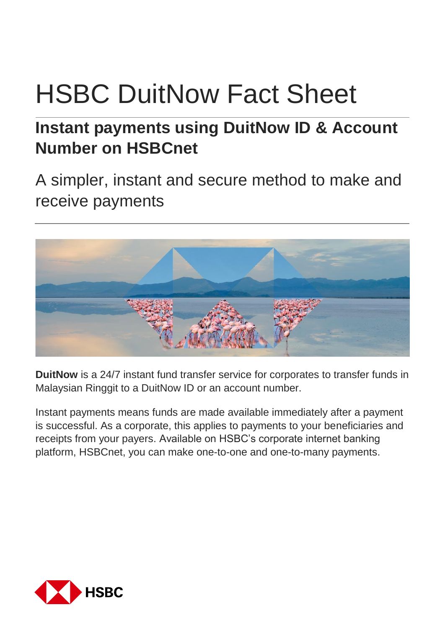# HSBC DuitNow Fact Sheet

# **Instant payments using DuitNow ID & Account Number on HSBCnet**

A simpler, instant and secure method to make and receive payments



**DuitNow** is a 24/7 instant fund transfer service for corporates to transfer funds in Malaysian Ringgit to a DuitNow ID or an account number.

Instant payments means funds are made available immediately after a payment is successful. As a corporate, this applies to payments to your beneficiaries and receipts from your payers. Available on HSBC's corporate internet banking platform, HSBCnet, you can make one-to-one and one-to-many payments.

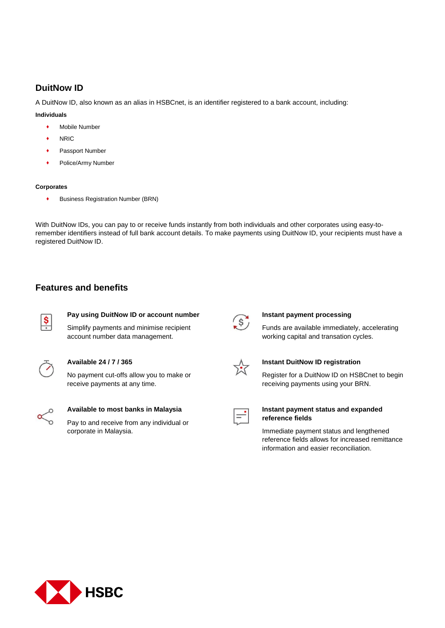# **DuitNow ID**

A DuitNow ID, also known as an alias in HSBCnet, is an identifier registered to a bank account, including:

#### **Individuals**

- Mobile Number
- NRIC
- Passport Number
- Police/Army Number

#### **Corporates**

Business Registration Number (BRN)

With DuitNow IDs, you can pay to or receive funds instantly from both individuals and other corporates using easy-toremember identifiers instead of full bank account details. To make payments using DuitNow ID, your recipients must have a registered DuitNow ID.

# **Features and benefits**



# **Pay using DuitNow ID or account number**

Simplify payments and minimise recipient account number data management.



#### **Available 24 / 7 / 365**

No payment cut-offs allow you to make or receive payments at any time.



## **Available to most banks in Malaysia**

Pay to and receive from any individual or corporate in Malaysia.

#### **Instant payment processing**

Funds are available immediately, accelerating working capital and transation cycles.



#### **Instant DuitNow ID registration**

Register for a DuitNow ID on HSBCnet to begin receiving payments using your BRN.



#### **Instant payment status and expanded reference fields**

Immediate payment status and lengthened reference fields allows for increased remittance information and easier reconciliation.

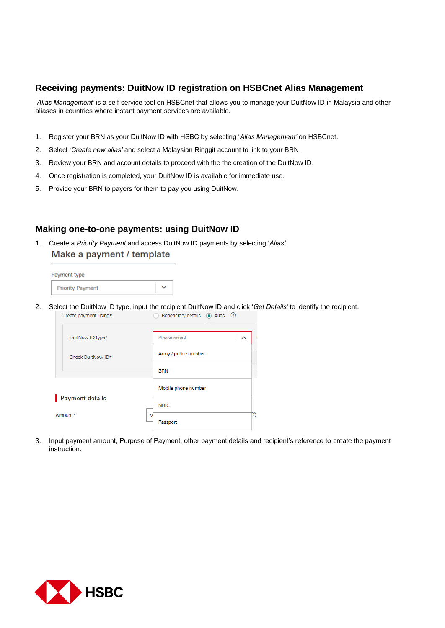# **Receiving payments: DuitNow ID registration on HSBCnet Alias Management**

'*Alias Management'* is a self-service tool on HSBCnet that allows you to manage your DuitNow ID in Malaysia and other aliases in countries where instant payment services are available.

- 1. Register your BRN as your DuitNow ID with HSBC by selecting '*Alias Management'* on HSBCnet.
- 2. Select '*Create new alias'* and select a Malaysian Ringgit account to link to your BRN.
- 3. Review your BRN and account details to proceed with the the creation of the DuitNow ID.
- 4. Once registration is completed, your DuitNow ID is available for immediate use.
- 5. Provide your BRN to payers for them to pay you using DuitNow.

#### **Making one-to-one payments: using DuitNow ID**

1. Create a *Priority Payment* and access DuitNow ID payments by selecting '*Alias'*. Make a payment / template

| Payment type            |  |
|-------------------------|--|
| <b>Priority Payment</b> |  |

2. Select the DuitNow ID type, input the recipient DuitNow ID and click '*Get Details'* to identify the recipient. Create payment using\* **Seneficiary details • Alias ©** 

| DuitNow ID type*  | Please select<br>ㅅ   |  |
|-------------------|----------------------|--|
| Check DuitNow ID* | Army / police number |  |
|                   | <b>BRN</b>           |  |
|                   | Mobile phone number  |  |
| Payment details   | <b>NRIC</b>          |  |
| Amount*<br>М      | Passport             |  |

3. Input payment amount, Purpose of Payment, other payment details and recipient's reference to create the payment instruction.

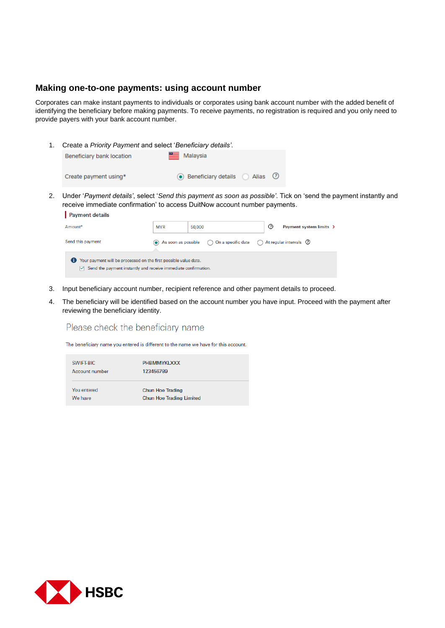## **Making one-to-one payments: using account number**

Corporates can make instant payments to individuals or corporates using bank account number with the added benefit of identifying the beneficiary before making payments. To receive payments, no registration is required and you only need to provide payers with your bank account number.

1. Create a *Priority Payment* and select '*Beneficiary details'*. Beneficiary bank location Malaysia Create payment using\* ◉ Beneficiary details ( ) Alias 2 2. Under '*Payment details'*, select '*Send this payment as soon as possible'*. Tick on 'send the payment instantly and receive immediate confirmation' to access DuitNow account number payments. **Payment details** 

| Amount*                                                                                                                                                 | <b>MYR</b> | 50,000                                                                                                                  | Payment system limits ><br>$\circ$ |  |  |
|---------------------------------------------------------------------------------------------------------------------------------------------------------|------------|-------------------------------------------------------------------------------------------------------------------------|------------------------------------|--|--|
| Send this payment                                                                                                                                       |            | $\circledcirc$ As soon as possible $\circledcirc$ On a specific date $\circledcirc$ At regular intervals $\circledcirc$ |                                    |  |  |
| Your payment will be processed on the first possible value date.<br>Ð<br>$\triangledown$ Send the payment instantly and receive immediate confirmation. |            |                                                                                                                         |                                    |  |  |

- 3. Input beneficiary account number, recipient reference and other payment details to proceed.
- 4. The beneficiary will be identified based on the account number you have input. Proceed with the payment after reviewing the beneficiary identity.

#### Please check the beneficiary name

The beneficiary name you entered is different to the name we have for this account.